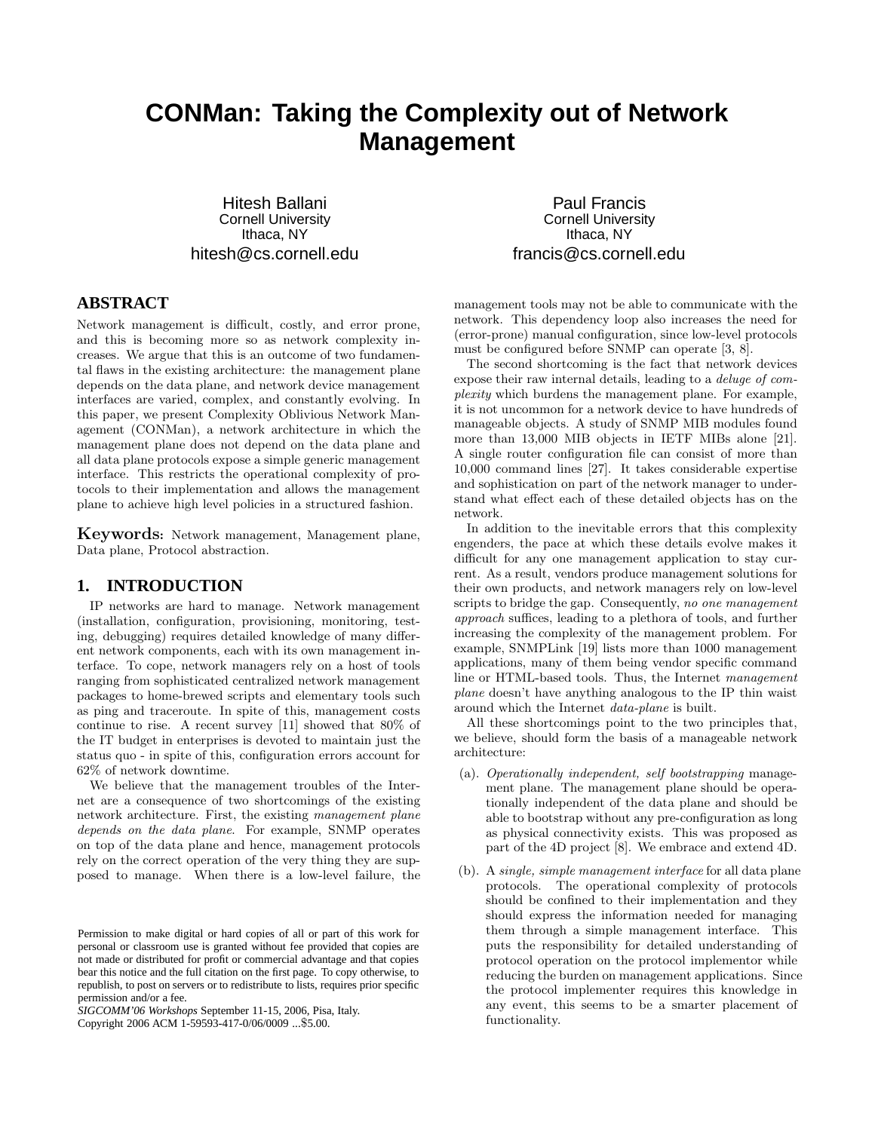# **CONMan: Taking the Complexity out of Network Management**

Hitesh Ballani Cornell University Ithaca, NY hitesh@cs.cornell.edu

**ABSTRACT**

Network management is difficult, costly, and error prone, and this is becoming more so as network complexity increases. We argue that this is an outcome of two fundamental flaws in the existing architecture: the management plane depends on the data plane, and network device management interfaces are varied, complex, and constantly evolving. In this paper, we present Complexity Oblivious Network Management (CONMan), a network architecture in which the management plane does not depend on the data plane and all data plane protocols expose a simple generic management interface. This restricts the operational complexity of protocols to their implementation and allows the management plane to achieve high level policies in a structured fashion.

Keywords: Network management, Management plane, Data plane, Protocol abstraction.

## **1. INTRODUCTION**

IP networks are hard to manage. Network management (installation, configuration, provisioning, monitoring, testing, debugging) requires detailed knowledge of many different network components, each with its own management interface. To cope, network managers rely on a host of tools ranging from sophisticated centralized network management packages to home-brewed scripts and elementary tools such as ping and traceroute. In spite of this, management costs continue to rise. A recent survey [11] showed that 80% of the IT budget in enterprises is devoted to maintain just the status quo - in spite of this, configuration errors account for 62% of network downtime.

We believe that the management troubles of the Internet are a consequence of two shortcomings of the existing network architecture. First, the existing management plane depends on the data plane. For example, SNMP operates on top of the data plane and hence, management protocols rely on the correct operation of the very thing they are supposed to manage. When there is a low-level failure, the

*SIGCOMM'06 Workshops* September 11-15, 2006, Pisa, Italy.

Copyright 2006 ACM 1-59593-417-0/06/0009 ...\$5.00.

Paul Francis Cornell University Ithaca, NY francis@cs.cornell.edu

management tools may not be able to communicate with the network. This dependency loop also increases the need for (error-prone) manual configuration, since low-level protocols must be configured before SNMP can operate [3, 8].

The second shortcoming is the fact that network devices expose their raw internal details, leading to a deluge of complexity which burdens the management plane. For example, it is not uncommon for a network device to have hundreds of manageable objects. A study of SNMP MIB modules found more than 13,000 MIB objects in IETF MIBs alone [21]. A single router configuration file can consist of more than 10,000 command lines [27]. It takes considerable expertise and sophistication on part of the network manager to understand what effect each of these detailed objects has on the network.

In addition to the inevitable errors that this complexity engenders, the pace at which these details evolve makes it difficult for any one management application to stay current. As a result, vendors produce management solutions for their own products, and network managers rely on low-level scripts to bridge the gap. Consequently, no one management approach suffices, leading to a plethora of tools, and further increasing the complexity of the management problem. For example, SNMPLink [19] lists more than 1000 management applications, many of them being vendor specific command line or HTML-based tools. Thus, the Internet management plane doesn't have anything analogous to the IP thin waist around which the Internet data-plane is built.

All these shortcomings point to the two principles that, we believe, should form the basis of a manageable network architecture:

- (a). Operationally independent, self bootstrapping management plane. The management plane should be operationally independent of the data plane and should be able to bootstrap without any pre-configuration as long as physical connectivity exists. This was proposed as part of the 4D project [8]. We embrace and extend 4D.
- (b). A single, simple management interface for all data plane protocols. The operational complexity of protocols should be confined to their implementation and they should express the information needed for managing them through a simple management interface. This puts the responsibility for detailed understanding of protocol operation on the protocol implementor while reducing the burden on management applications. Since the protocol implementer requires this knowledge in any event, this seems to be a smarter placement of functionality.

Permission to make digital or hard copies of all or part of this work for personal or classroom use is granted without fee provided that copies are not made or distributed for profit or commercial advantage and that copies bear this notice and the full citation on the first page. To copy otherwise, to republish, to post on servers or to redistribute to lists, requires prior specific permission and/or a fee.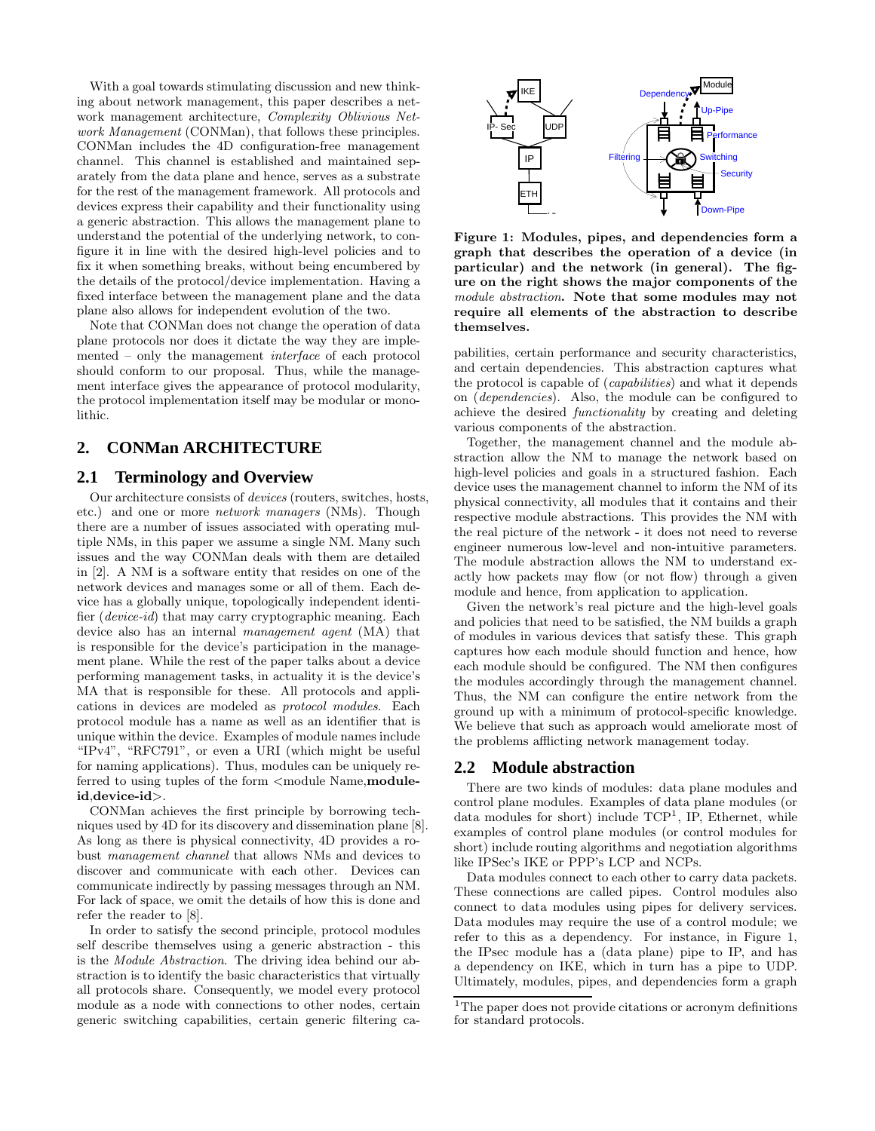With a goal towards stimulating discussion and new thinking about network management, this paper describes a network management architecture, Complexity Oblivious Network Management (CONMan), that follows these principles. CONMan includes the 4D configuration-free management channel. This channel is established and maintained separately from the data plane and hence, serves as a substrate for the rest of the management framework. All protocols and devices express their capability and their functionality using a generic abstraction. This allows the management plane to understand the potential of the underlying network, to configure it in line with the desired high-level policies and to fix it when something breaks, without being encumbered by the details of the protocol/device implementation. Having a fixed interface between the management plane and the data plane also allows for independent evolution of the two.

Note that CONMan does not change the operation of data plane protocols nor does it dictate the way they are implemented – only the management interface of each protocol should conform to our proposal. Thus, while the management interface gives the appearance of protocol modularity, the protocol implementation itself may be modular or monolithic.

## **2. CONMan ARCHITECTURE**

## **2.1 Terminology and Overview**

Our architecture consists of devices (routers, switches, hosts, etc.) and one or more network managers (NMs). Though there are a number of issues associated with operating multiple NMs, in this paper we assume a single NM. Many such issues and the way CONMan deals with them are detailed in [2]. A NM is a software entity that resides on one of the network devices and manages some or all of them. Each device has a globally unique, topologically independent identifier (device-id) that may carry cryptographic meaning. Each device also has an internal management agent (MA) that is responsible for the device's participation in the management plane. While the rest of the paper talks about a device performing management tasks, in actuality it is the device's MA that is responsible for these. All protocols and applications in devices are modeled as protocol modules. Each protocol module has a name as well as an identifier that is unique within the device. Examples of module names include "IPv4", "RFC791", or even a URI (which might be useful for naming applications). Thus, modules can be uniquely referred to using tuples of the form  $\leq$  module Name, moduleid,device-id>.

CONMan achieves the first principle by borrowing techniques used by 4D for its discovery and dissemination plane [8]. As long as there is physical connectivity, 4D provides a robust management channel that allows NMs and devices to discover and communicate with each other. Devices can communicate indirectly by passing messages through an NM. For lack of space, we omit the details of how this is done and refer the reader to [8].

In order to satisfy the second principle, protocol modules self describe themselves using a generic abstraction - this is the Module Abstraction. The driving idea behind our abstraction is to identify the basic characteristics that virtually all protocols share. Consequently, we model every protocol module as a node with connections to other nodes, certain generic switching capabilities, certain generic filtering ca-



Figure 1: Modules, pipes, and dependencies form a graph that describes the operation of a device (in particular) and the network (in general). The figure on the right shows the major components of the module abstraction. Note that some modules may not require all elements of the abstraction to describe themselves.

pabilities, certain performance and security characteristics, and certain dependencies. This abstraction captures what the protocol is capable of (capabilities) and what it depends on (dependencies). Also, the module can be configured to achieve the desired functionality by creating and deleting various components of the abstraction.

Together, the management channel and the module abstraction allow the NM to manage the network based on high-level policies and goals in a structured fashion. Each device uses the management channel to inform the NM of its physical connectivity, all modules that it contains and their respective module abstractions. This provides the NM with the real picture of the network - it does not need to reverse engineer numerous low-level and non-intuitive parameters. The module abstraction allows the NM to understand exactly how packets may flow (or not flow) through a given module and hence, from application to application.

Given the network's real picture and the high-level goals and policies that need to be satisfied, the NM builds a graph of modules in various devices that satisfy these. This graph captures how each module should function and hence, how each module should be configured. The NM then configures the modules accordingly through the management channel. Thus, the NM can configure the entire network from the ground up with a minimum of protocol-specific knowledge. We believe that such as approach would ameliorate most of the problems afflicting network management today.

## **2.2 Module abstraction**

There are two kinds of modules: data plane modules and control plane modules. Examples of data plane modules (or data modules for short) include  $\text{TCP}^1$ , IP, Ethernet, while examples of control plane modules (or control modules for short) include routing algorithms and negotiation algorithms like IPSec's IKE or PPP's LCP and NCPs.

Data modules connect to each other to carry data packets. These connections are called pipes. Control modules also connect to data modules using pipes for delivery services. Data modules may require the use of a control module; we refer to this as a dependency. For instance, in Figure 1, the IPsec module has a (data plane) pipe to IP, and has a dependency on IKE, which in turn has a pipe to UDP. Ultimately, modules, pipes, and dependencies form a graph

<sup>&</sup>lt;sup>1</sup>The paper does not provide citations or acronym definitions for standard protocols.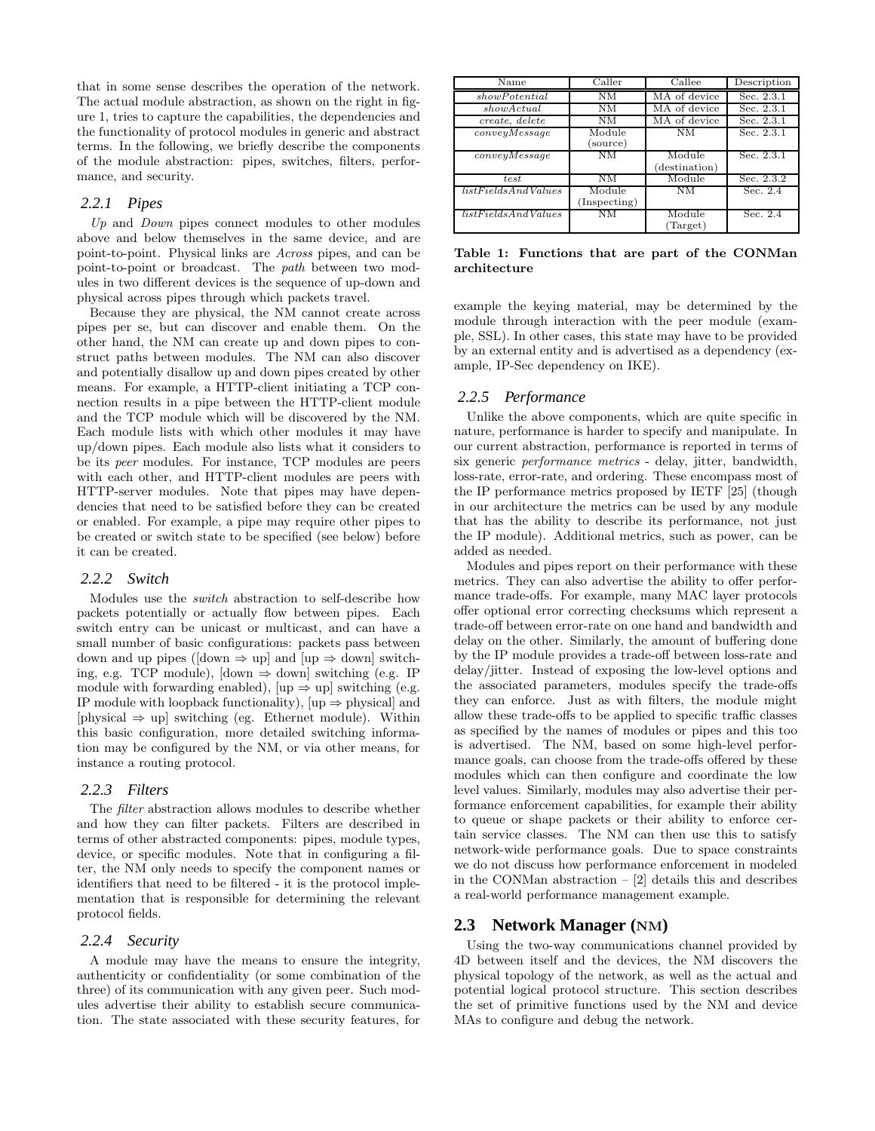that in some sense describes the operation of the network. The actual module abstraction, as shown on the right in figure 1, tries to capture the capabilities, the dependencies and the functionality of protocol modules in generic and abstract terms. In the following, we briefly describe the components of the module abstraction: pipes, switches, filters, performance, and security.

### *2.2.1 Pipes*

 $Up$  and  $Down$  pipes connect modules to other modules above and below themselves in the same device, and are point-to-point. Physical links are Across pipes, and can be point-to-point or broadcast. The path between two modules in two different devices is the sequence of up-down and physical across pipes through which packets travel.

Because they are physical, the NM cannot create across pipes per se, but can discover and enable them. On the other hand, the NM can create up and down pipes to construct paths between modules. The NM can also discover and potentially disallow up and down pipes created by other means. For example, a HTTP-client initiating a TCP connection results in a pipe between the HTTP-client module and the TCP module which will be discovered by the NM. Each module lists with which other modules it may have up/down pipes. Each module also lists what it considers to be its peer modules. For instance, TCP modules are peers with each other, and HTTP-client modules are peers with HTTP-server modules. Note that pipes may have dependencies that need to be satisfied before they can be created or enabled. For example, a pipe may require other pipes to be created or switch state to be specified (see below) before it can be created.

#### *2.2.2 Switch*

Modules use the switch abstraction to self-describe how packets potentially or actually flow between pipes. Each switch entry can be unicast or multicast, and can have a small number of basic configurations: packets pass between down and up pipes ([down  $\Rightarrow$  up] and [up  $\Rightarrow$  down] switching, e.g. TCP module), [down ⇒ down] switching (e.g. IP module with forwarding enabled),  $[up \Rightarrow up]$  switching (e.g. IP module with loopback functionality),  $[up \Rightarrow physical]$  and  $[physical \Rightarrow up]$  switching (eg. Ethernet module). Within this basic configuration, more detailed switching information may be configured by the NM, or via other means, for instance a routing protocol.

#### *2.2.3 Filters*

The filter abstraction allows modules to describe whether and how they can filter packets. Filters are described in terms of other abstracted components: pipes, module types, device, or specific modules. Note that in configuring a filter, the NM only needs to specify the component names or identifiers that need to be filtered - it is the protocol implementation that is responsible for determining the relevant protocol fields.

#### *2.2.4 Security*

A module may have the means to ensure the integrity, authenticity or confidentiality (or some combination of the three) of its communication with any given peer. Such modules advertise their ability to establish secure communication. The state associated with these security features, for

| Name                       | Caller       | Callee        | Description  |
|----------------------------|--------------|---------------|--------------|
| showPotential              | <b>NM</b>    | MA of device  | Sec. 2.3.1   |
| showActual                 | <b>NM</b>    | MA of device  | Sec. 2.3.1   |
| create, delete             | NΜ           | MA of device  | Sec. 2.3.1   |
| conveyMessage              | Module       | NΜ            | Sec. 2.3.1   |
|                            | source)      |               |              |
| conveyMessage              | NΜ           | Module        | Sec. 2.3.1   |
|                            |              | (destination) |              |
| test                       | NΜ           | Module        | Sec. $2.3.2$ |
| <i>listFieldsAndValues</i> | Module       | <b>NM</b>     | Sec. $2.4$   |
|                            | (Inspecting) |               |              |
| <i>listFieldsAndValues</i> | NM           | Module        | Sec. $2.4$   |
|                            |              | Target)       |              |

Table 1: Functions that are part of the CONMan architecture

example the keying material, may be determined by the module through interaction with the peer module (example, SSL). In other cases, this state may have to be provided by an external entity and is advertised as a dependency (example, IP-Sec dependency on IKE).

#### *2.2.5 Performance*

Unlike the above components, which are quite specific in nature, performance is harder to specify and manipulate. In our current abstraction, performance is reported in terms of six generic performance metrics - delay, jitter, bandwidth, loss-rate, error-rate, and ordering. These encompass most of the IP performance metrics proposed by IETF [25] (though in our architecture the metrics can be used by any module that has the ability to describe its performance, not just the IP module). Additional metrics, such as power, can be added as needed.

Modules and pipes report on their performance with these metrics. They can also advertise the ability to offer performance trade-offs. For example, many MAC layer protocols offer optional error correcting checksums which represent a trade-off between error-rate on one hand and bandwidth and delay on the other. Similarly, the amount of buffering done by the IP module provides a trade-off between loss-rate and delay/jitter. Instead of exposing the low-level options and the associated parameters, modules specify the trade-offs they can enforce. Just as with filters, the module might allow these trade-offs to be applied to specific traffic classes as specified by the names of modules or pipes and this too is advertised. The NM, based on some high-level performance goals, can choose from the trade-offs offered by these modules which can then configure and coordinate the low level values. Similarly, modules may also advertise their performance enforcement capabilities, for example their ability to queue or shape packets or their ability to enforce certain service classes. The NM can then use this to satisfy network-wide performance goals. Due to space constraints we do not discuss how performance enforcement in modeled in the CONMan abstraction – [2] details this and describes a real-world performance management example.

## **2.3 Network Manager (**NM**)**

Using the two-way communications channel provided by 4D between itself and the devices, the NM discovers the physical topology of the network, as well as the actual and potential logical protocol structure. This section describes the set of primitive functions used by the NM and device MAs to configure and debug the network.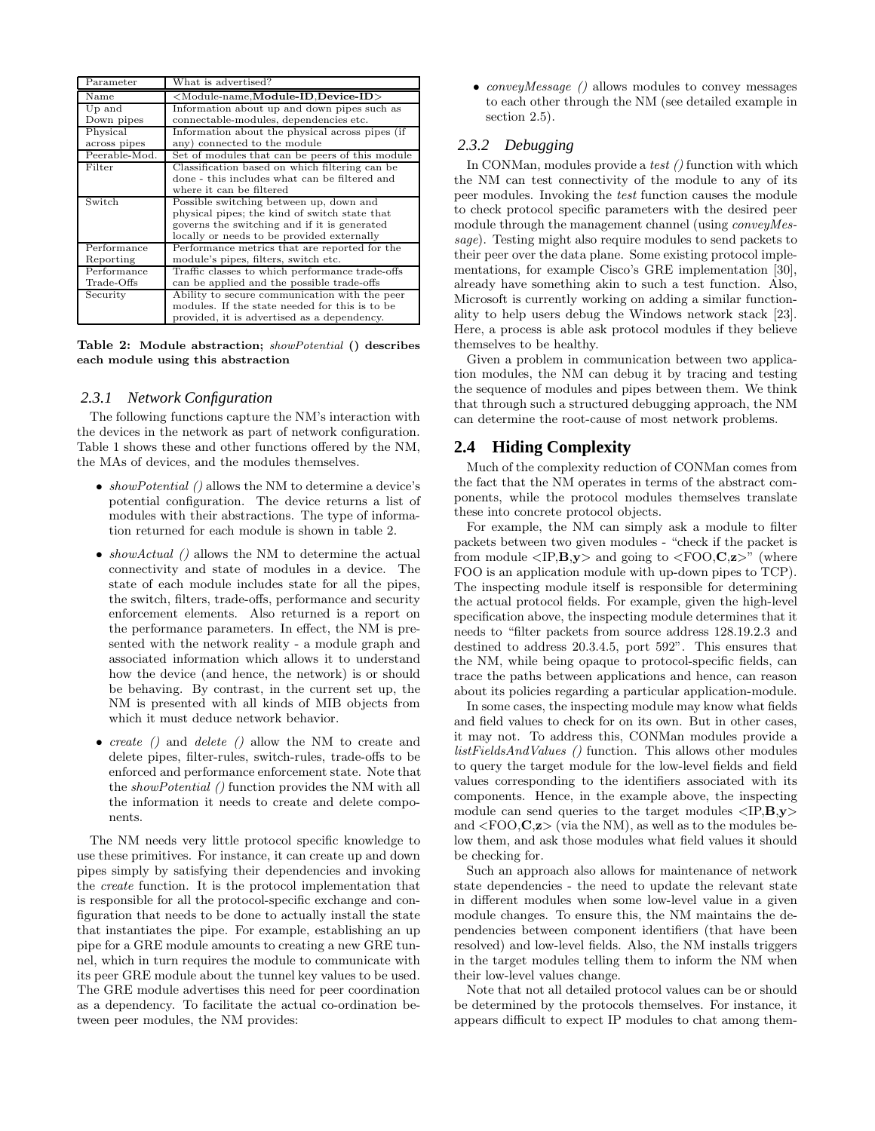| Parameter     | What is advertised?                                                 |
|---------------|---------------------------------------------------------------------|
| Name          | <module-name,module-id,device-id></module-name,module-id,device-id> |
| Up and        | Information about up and down pipes such as                         |
| Down pipes    | connectable-modules, dependencies etc.                              |
| Physical      | Information about the physical across pipes (if                     |
| across pipes  | any) connected to the module                                        |
| Peerable-Mod. | Set of modules that can be peers of this module                     |
| Filter        | Classification based on which filtering can be                      |
|               | done - this includes what can be filtered and                       |
|               | where it can be filtered                                            |
| Switch        | Possible switching between up, down and                             |
|               | physical pipes; the kind of switch state that                       |
|               | governs the switching and if it is generated                        |
|               | locally or needs to be provided externally                          |
| Performance   | Performance metrics that are reported for the                       |
| Reporting     | module's pipes, filters, switch etc.                                |
| Performance   | Traffic classes to which performance trade-offs                     |
| Trade-Offs    | can be applied and the possible trade-offs                          |
| Security      | Ability to secure communication with the peer                       |
|               | modules. If the state needed for this is to be                      |
|               | provided, it is advertised as a dependency.                         |

Table 2: Module abstraction; showPotential () describes each module using this abstraction

#### *2.3.1 Network Configuration*

The following functions capture the NM's interaction with the devices in the network as part of network configuration. Table 1 shows these and other functions offered by the NM, the MAs of devices, and the modules themselves.

- showPotential  $()$  allows the NM to determine a device's potential configuration. The device returns a list of modules with their abstractions. The type of information returned for each module is shown in table 2.
- showActual  $\ell$ ) allows the NM to determine the actual connectivity and state of modules in a device. The state of each module includes state for all the pipes, the switch, filters, trade-offs, performance and security enforcement elements. Also returned is a report on the performance parameters. In effect, the NM is presented with the network reality - a module graph and associated information which allows it to understand how the device (and hence, the network) is or should be behaving. By contrast, in the current set up, the NM is presented with all kinds of MIB objects from which it must deduce network behavior.
- *create* () and *delete* () allow the NM to create and delete pipes, filter-rules, switch-rules, trade-offs to be enforced and performance enforcement state. Note that the showPotential () function provides the NM with all the information it needs to create and delete components.

The NM needs very little protocol specific knowledge to use these primitives. For instance, it can create up and down pipes simply by satisfying their dependencies and invoking the create function. It is the protocol implementation that is responsible for all the protocol-specific exchange and configuration that needs to be done to actually install the state that instantiates the pipe. For example, establishing an up pipe for a GRE module amounts to creating a new GRE tunnel, which in turn requires the module to communicate with its peer GRE module about the tunnel key values to be used. The GRE module advertises this need for peer coordination as a dependency. To facilitate the actual co-ordination between peer modules, the NM provides:

• *conveyMessage ()* allows modules to convey messages to each other through the NM (see detailed example in section 2.5).

## *2.3.2 Debugging*

In CONMan, modules provide a test () function with which the NM can test connectivity of the module to any of its peer modules. Invoking the test function causes the module to check protocol specific parameters with the desired peer module through the management channel (using conveyMessage). Testing might also require modules to send packets to their peer over the data plane. Some existing protocol implementations, for example Cisco's GRE implementation [30], already have something akin to such a test function. Also, Microsoft is currently working on adding a similar functionality to help users debug the Windows network stack [23]. Here, a process is able ask protocol modules if they believe themselves to be healthy.

Given a problem in communication between two application modules, the NM can debug it by tracing and testing the sequence of modules and pipes between them. We think that through such a structured debugging approach, the NM can determine the root-cause of most network problems.

## **2.4 Hiding Complexity**

Much of the complexity reduction of CONMan comes from the fact that the NM operates in terms of the abstract components, while the protocol modules themselves translate these into concrete protocol objects.

For example, the NM can simply ask a module to filter packets between two given modules - "check if the packet is from module  $\langle IP, B, y \rangle$  and going to  $\langle FOO, C, z \rangle$ " (where FOO is an application module with up-down pipes to TCP). The inspecting module itself is responsible for determining the actual protocol fields. For example, given the high-level specification above, the inspecting module determines that it needs to "filter packets from source address 128.19.2.3 and destined to address 20.3.4.5, port 592". This ensures that the NM, while being opaque to protocol-specific fields, can trace the paths between applications and hence, can reason about its policies regarding a particular application-module.

In some cases, the inspecting module may know what fields and field values to check for on its own. But in other cases, it may not. To address this, CONMan modules provide a listFieldsAndValues () function. This allows other modules to query the target module for the low-level fields and field values corresponding to the identifiers associated with its components. Hence, in the example above, the inspecting module can send queries to the target modules  $\langle IP, B, y \rangle$ and  $\langle$ FOO,**C**, $z$  $>$  (via the NM), as well as to the modules below them, and ask those modules what field values it should be checking for.

Such an approach also allows for maintenance of network state dependencies - the need to update the relevant state in different modules when some low-level value in a given module changes. To ensure this, the NM maintains the dependencies between component identifiers (that have been resolved) and low-level fields. Also, the NM installs triggers in the target modules telling them to inform the NM when their low-level values change.

Note that not all detailed protocol values can be or should be determined by the protocols themselves. For instance, it appears difficult to expect IP modules to chat among them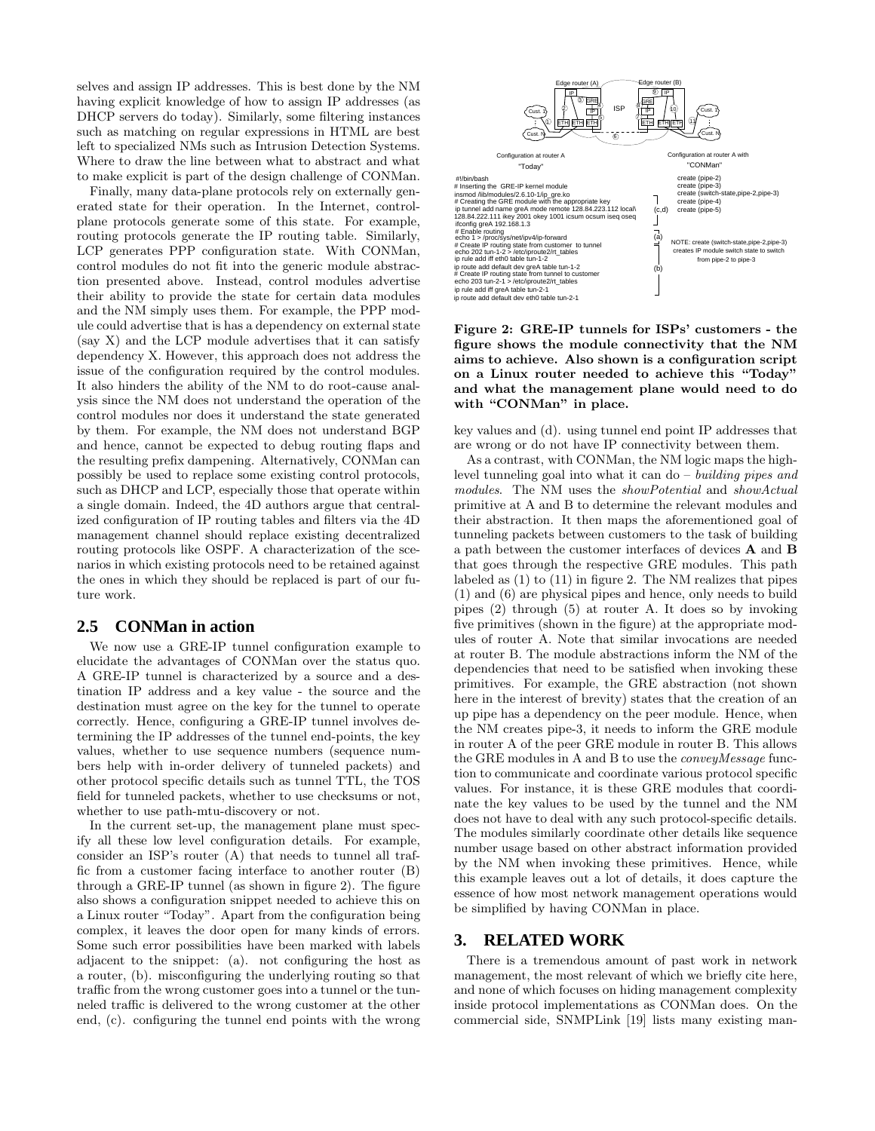selves and assign IP addresses. This is best done by the NM having explicit knowledge of how to assign IP addresses (as DHCP servers do today). Similarly, some filtering instances such as matching on regular expressions in HTML are best left to specialized NMs such as Intrusion Detection Systems. Where to draw the line between what to abstract and what to make explicit is part of the design challenge of CONMan.

Finally, many data-plane protocols rely on externally generated state for their operation. In the Internet, controlplane protocols generate some of this state. For example, routing protocols generate the IP routing table. Similarly, LCP generates PPP configuration state. With CONMan, control modules do not fit into the generic module abstraction presented above. Instead, control modules advertise their ability to provide the state for certain data modules and the NM simply uses them. For example, the PPP module could advertise that is has a dependency on external state (say X) and the LCP module advertises that it can satisfy dependency X. However, this approach does not address the issue of the configuration required by the control modules. It also hinders the ability of the NM to do root-cause analysis since the NM does not understand the operation of the control modules nor does it understand the state generated by them. For example, the NM does not understand BGP and hence, cannot be expected to debug routing flaps and the resulting prefix dampening. Alternatively, CONMan can possibly be used to replace some existing control protocols, such as DHCP and LCP, especially those that operate within a single domain. Indeed, the 4D authors argue that centralized configuration of IP routing tables and filters via the 4D management channel should replace existing decentralized routing protocols like OSPF. A characterization of the scenarios in which existing protocols need to be retained against the ones in which they should be replaced is part of our future work.

## **2.5 CONMan in action**

We now use a GRE-IP tunnel configuration example to elucidate the advantages of CONMan over the status quo. A GRE-IP tunnel is characterized by a source and a destination IP address and a key value - the source and the destination must agree on the key for the tunnel to operate correctly. Hence, configuring a GRE-IP tunnel involves determining the IP addresses of the tunnel end-points, the key values, whether to use sequence numbers (sequence numbers help with in-order delivery of tunneled packets) and other protocol specific details such as tunnel TTL, the TOS field for tunneled packets, whether to use checksums or not, whether to use path-mtu-discovery or not.

In the current set-up, the management plane must specify all these low level configuration details. For example, consider an ISP's router (A) that needs to tunnel all traffic from a customer facing interface to another router (B) through a GRE-IP tunnel (as shown in figure 2). The figure also shows a configuration snippet needed to achieve this on a Linux router "Today". Apart from the configuration being complex, it leaves the door open for many kinds of errors. Some such error possibilities have been marked with labels adjacent to the snippet: (a). not configuring the host as a router, (b). misconfiguring the underlying routing so that traffic from the wrong customer goes into a tunnel or the tunneled traffic is delivered to the wrong customer at the other end, (c). configuring the tunnel end points with the wrong



Figure 2: GRE-IP tunnels for ISPs' customers - the figure shows the module connectivity that the NM aims to achieve. Also shown is a configuration script on a Linux router needed to achieve this "Today" and what the management plane would need to do with "CONMan" in place.

key values and (d). using tunnel end point IP addresses that are wrong or do not have IP connectivity between them.

As a contrast, with CONMan, the NM logic maps the highlevel tunneling goal into what it can do – building pipes and modules. The NM uses the showPotential and showActual primitive at A and B to determine the relevant modules and their abstraction. It then maps the aforementioned goal of tunneling packets between customers to the task of building a path between the customer interfaces of devices A and B that goes through the respective GRE modules. This path labeled as (1) to (11) in figure 2. The NM realizes that pipes (1) and (6) are physical pipes and hence, only needs to build pipes (2) through (5) at router A. It does so by invoking five primitives (shown in the figure) at the appropriate modules of router A. Note that similar invocations are needed at router B. The module abstractions inform the NM of the dependencies that need to be satisfied when invoking these primitives. For example, the GRE abstraction (not shown here in the interest of brevity) states that the creation of an up pipe has a dependency on the peer module. Hence, when the NM creates pipe-3, it needs to inform the GRE module in router A of the peer GRE module in router B. This allows the GRE modules in A and B to use the conveyMessage function to communicate and coordinate various protocol specific values. For instance, it is these GRE modules that coordinate the key values to be used by the tunnel and the NM does not have to deal with any such protocol-specific details. The modules similarly coordinate other details like sequence number usage based on other abstract information provided by the NM when invoking these primitives. Hence, while this example leaves out a lot of details, it does capture the essence of how most network management operations would be simplified by having CONMan in place.

## **3. RELATED WORK**

There is a tremendous amount of past work in network management, the most relevant of which we briefly cite here, and none of which focuses on hiding management complexity inside protocol implementations as CONMan does. On the commercial side, SNMPLink [19] lists many existing man